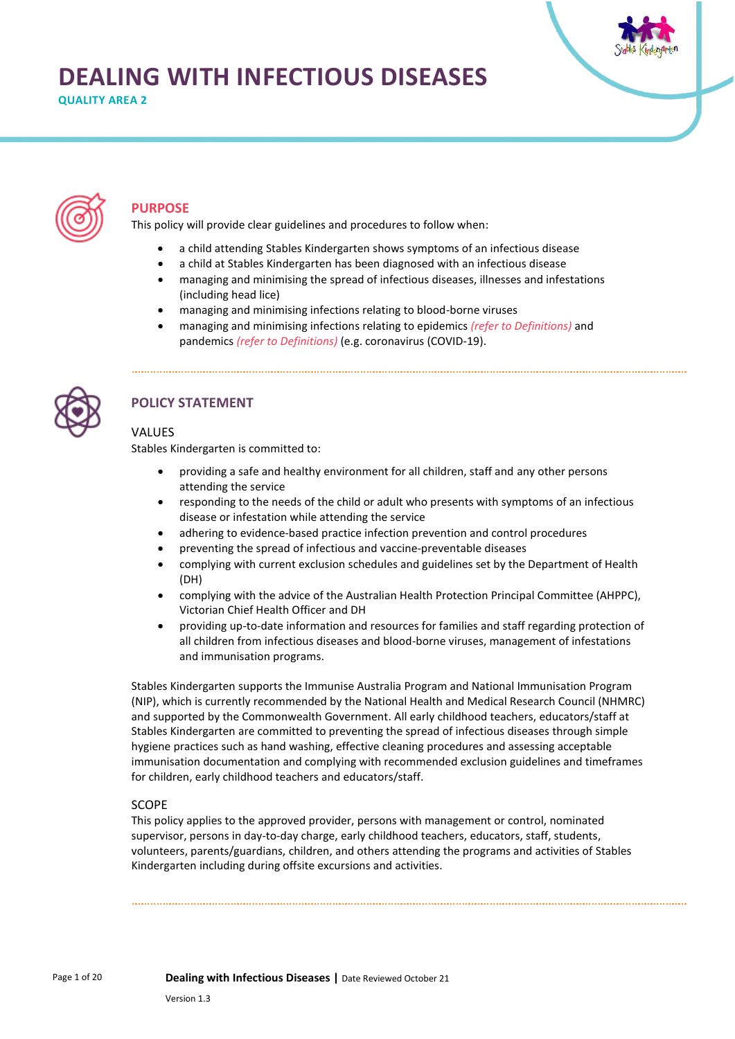# **DEALING WITH INFECTIOUS DISEASES**

**QUALITY AREA 2** 





### **PURPOSE**

This policy will provide clear guidelines and procedures to follow when:

- a child attending Stables Kindergarten shows symptoms of an infectious disease
- a child at Stables Kindergarten has been diagnosed with an infectious disease
- managing and minimising the spread of infectious diseases, illnesses and infestations (including head lice)
- managing and minimising infections relating to blood-borne viruses
- managing and minimising infections relating to epidemics *(refer to Definitions)* and pandemics *(refer to Definitions)* (e.g. coronavirus (COVID-19).



### **POLICY STATEMENT**

### VALUES

Stables Kindergarten is committed to:

- providing a safe and healthy environment for all children, staff and any other persons attending the service
- responding to the needs of the child or adult who presents with symptoms of an infectious disease or infestation while attending the service
- adhering to evidence-based practice infection prevention and control procedures
- preventing the spread of infectious and vaccine-preventable diseases
- complying with current exclusion schedules and guidelines set by the Department of Health (DH)
- complying with the advice of the Australian Health Protection Principal Committee (AHPPC), Victorian Chief Health Officer and DH
- providing up-to-date information and resources for families and staff regarding protection of all children from infectious diseases and blood-borne viruses, management of infestations and immunisation programs.

Stables Kindergarten supports the Immunise Australia Program and National Immunisation Program (NIP), which is currently recommended by the National Health and Medical Research Council (NHMRC) and supported by the Commonwealth Government. All early childhood teachers, educators/staff at Stables Kindergarten are committed to preventing the spread of infectious diseases through simple hygiene practices such as hand washing, effective cleaning procedures and assessing acceptable immunisation documentation and complying with recommended exclusion guidelines and timeframes for children, early childhood teachers and educators/staff.

### SCOPE

This policy applies to the approved provider, persons with management or control, nominated supervisor, persons in day-to-day charge, early childhood teachers, educators, staff, students, volunteers, parents/guardians, children, and others attending the programs and activities of Stables Kindergarten including during offsite excursions and activities.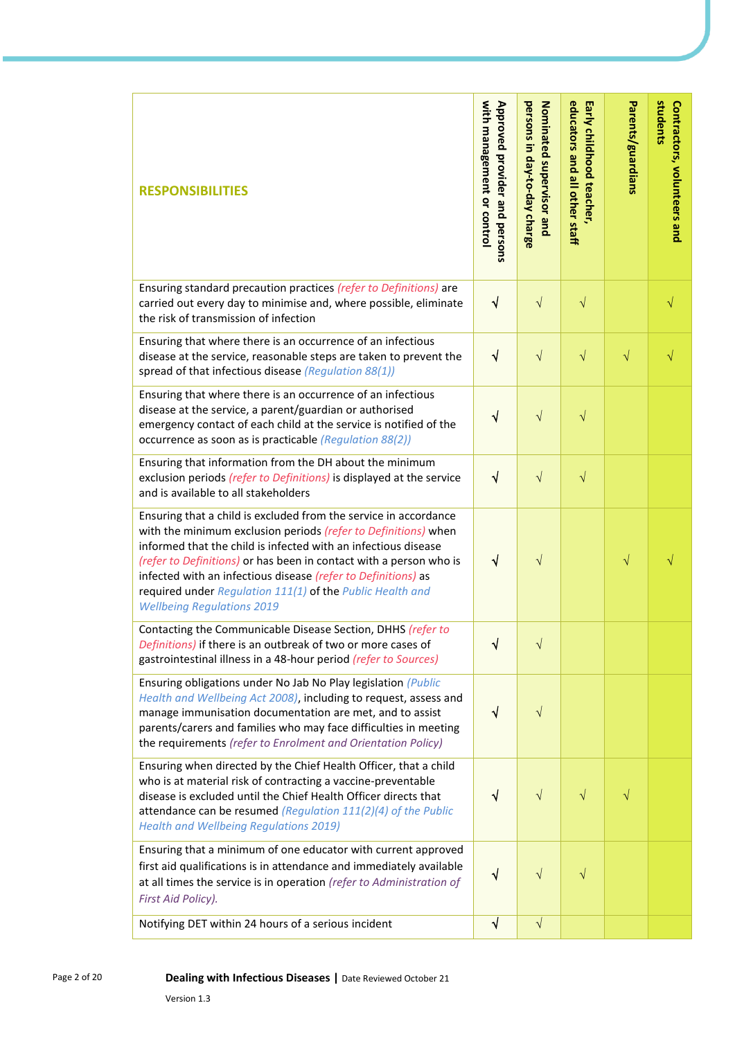| <b>RESPONSIBILITIES</b>                                                                                                                                                                                                                                                                                                                                                                                                                       | with management or contro<br>Approved provider and persons | persons in day-to-day charge<br>Nominated supervisor and | educators and all other staff<br>Early childhood teacher, | Parents/guardians | students<br>Contractors, volunteers and |
|-----------------------------------------------------------------------------------------------------------------------------------------------------------------------------------------------------------------------------------------------------------------------------------------------------------------------------------------------------------------------------------------------------------------------------------------------|------------------------------------------------------------|----------------------------------------------------------|-----------------------------------------------------------|-------------------|-----------------------------------------|
| Ensuring standard precaution practices (refer to Definitions) are<br>carried out every day to minimise and, where possible, eliminate<br>the risk of transmission of infection                                                                                                                                                                                                                                                                | $\sqrt{}$                                                  | $\sqrt{}$                                                | $\sqrt{}$                                                 |                   | $\sqrt{}$                               |
| Ensuring that where there is an occurrence of an infectious<br>disease at the service, reasonable steps are taken to prevent the<br>spread of that infectious disease (Regulation 88(1))                                                                                                                                                                                                                                                      | $\sqrt{}$                                                  | $\sqrt{}$                                                | $\sqrt{}$                                                 | $\sqrt{}$         | V                                       |
| Ensuring that where there is an occurrence of an infectious<br>disease at the service, a parent/guardian or authorised<br>emergency contact of each child at the service is notified of the<br>occurrence as soon as is practicable (Regulation 88(2))                                                                                                                                                                                        | $\sqrt{}$                                                  | $\sqrt{}$                                                | $\sqrt{}$                                                 |                   |                                         |
| Ensuring that information from the DH about the minimum<br>exclusion periods (refer to Definitions) is displayed at the service<br>and is available to all stakeholders                                                                                                                                                                                                                                                                       | $\sqrt{ }$                                                 | $\sqrt{}$                                                | $\sqrt{}$                                                 |                   |                                         |
| Ensuring that a child is excluded from the service in accordance<br>with the minimum exclusion periods (refer to Definitions) when<br>informed that the child is infected with an infectious disease<br>(refer to Definitions) or has been in contact with a person who is<br>infected with an infectious disease (refer to Definitions) as<br>required under Regulation 111(1) of the Public Health and<br><b>Wellbeing Regulations 2019</b> | $\sqrt{}$                                                  | $\sqrt{}$                                                |                                                           | $\sqrt{}$         | V                                       |
| Contacting the Communicable Disease Section, DHHS (refer to<br>Definitions) if there is an outbreak of two or more cases of<br>gastrointestinal illness in a 48-hour period (refer to Sources)                                                                                                                                                                                                                                                | ٦                                                          | V                                                        |                                                           |                   |                                         |
| Ensuring obligations under No Jab No Play legislation (Public<br>Health and Wellbeing Act 2008), including to request, assess and<br>manage immunisation documentation are met, and to assist<br>parents/carers and families who may face difficulties in meeting<br>the requirements (refer to Enrolment and Orientation Policy)                                                                                                             | √                                                          | $\sqrt{}$                                                |                                                           |                   |                                         |
| Ensuring when directed by the Chief Health Officer, that a child<br>who is at material risk of contracting a vaccine-preventable<br>disease is excluded until the Chief Health Officer directs that<br>attendance can be resumed (Regulation $111(2)(4)$ of the Public<br><b>Health and Wellbeing Regulations 2019)</b>                                                                                                                       | $\sqrt{ }$                                                 | $\sqrt{}$                                                | $\sqrt{}$                                                 | $\sqrt{}$         |                                         |
| Ensuring that a minimum of one educator with current approved<br>first aid qualifications is in attendance and immediately available<br>at all times the service is in operation (refer to Administration of<br>First Aid Policy).                                                                                                                                                                                                            | √                                                          | $\sqrt{}$                                                | V                                                         |                   |                                         |
| Notifying DET within 24 hours of a serious incident                                                                                                                                                                                                                                                                                                                                                                                           | $\sqrt{ }$                                                 | $\sqrt{}$                                                |                                                           |                   |                                         |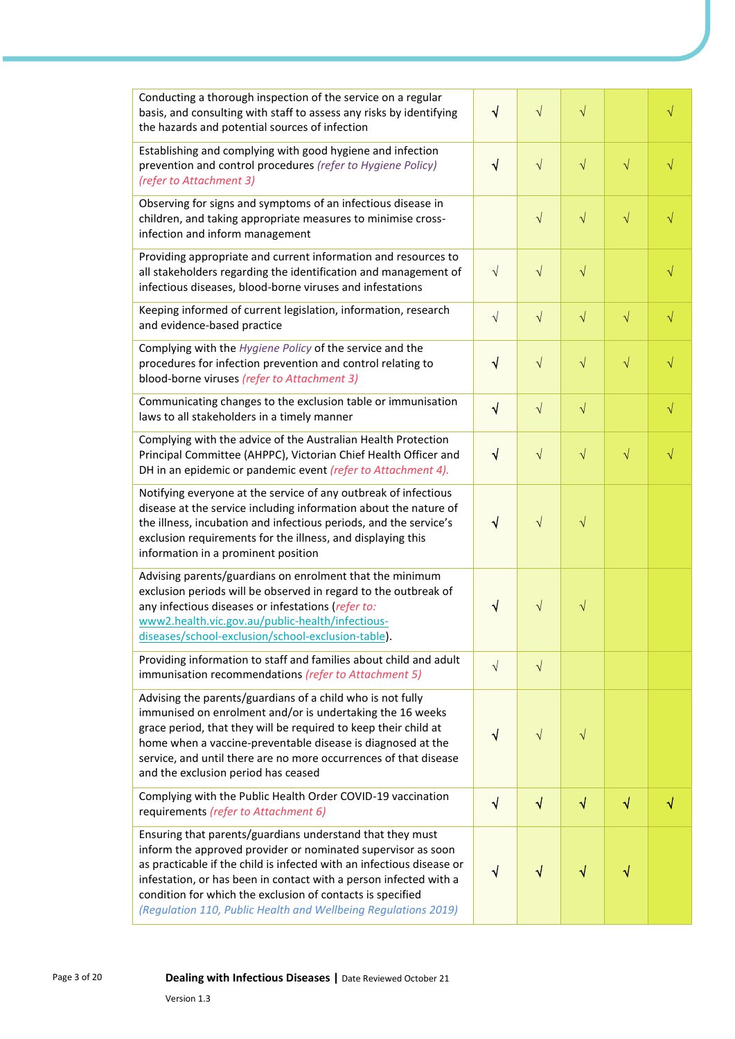| Conducting a thorough inspection of the service on a regular<br>basis, and consulting with staff to assess any risks by identifying<br>the hazards and potential sources of infection                                                                                                                                                                                                                   | $\sqrt{}$  | $\sqrt{}$  | $\sqrt{}$ |           | $\sqrt{}$ |
|---------------------------------------------------------------------------------------------------------------------------------------------------------------------------------------------------------------------------------------------------------------------------------------------------------------------------------------------------------------------------------------------------------|------------|------------|-----------|-----------|-----------|
| Establishing and complying with good hygiene and infection<br>prevention and control procedures (refer to Hygiene Policy)<br>(refer to Attachment 3)                                                                                                                                                                                                                                                    | $\sqrt{}$  | $\sqrt{}$  | $\sqrt{}$ | $\sqrt{}$ | $\sqrt{}$ |
| Observing for signs and symptoms of an infectious disease in<br>children, and taking appropriate measures to minimise cross-<br>infection and inform management                                                                                                                                                                                                                                         |            | $\sqrt{ }$ | $\sqrt{}$ | $\sqrt{}$ | $\sqrt{}$ |
| Providing appropriate and current information and resources to<br>all stakeholders regarding the identification and management of<br>infectious diseases, blood-borne viruses and infestations                                                                                                                                                                                                          | $\sqrt{ }$ | $\sqrt{}$  | $\sqrt{}$ |           | $\sqrt{}$ |
| Keeping informed of current legislation, information, research<br>and evidence-based practice                                                                                                                                                                                                                                                                                                           | $\sqrt{ }$ | $\sqrt{ }$ | $\sqrt{}$ | $\sqrt{}$ | $\sqrt{}$ |
| Complying with the Hygiene Policy of the service and the<br>procedures for infection prevention and control relating to<br>blood-borne viruses (refer to Attachment 3)                                                                                                                                                                                                                                  | $\sqrt{ }$ | $\sqrt{ }$ | $\sqrt{}$ | $\sqrt{}$ | $\sqrt{}$ |
| Communicating changes to the exclusion table or immunisation<br>laws to all stakeholders in a timely manner                                                                                                                                                                                                                                                                                             | $\sqrt{}$  | $\sqrt{ }$ | $\sqrt{}$ |           | $\sqrt{}$ |
| Complying with the advice of the Australian Health Protection<br>Principal Committee (AHPPC), Victorian Chief Health Officer and<br>DH in an epidemic or pandemic event (refer to Attachment 4).                                                                                                                                                                                                        | $\sqrt{}$  | $\sqrt{ }$ | $\sqrt{}$ | $\sqrt{}$ | $\sqrt{}$ |
| Notifying everyone at the service of any outbreak of infectious<br>disease at the service including information about the nature of<br>the illness, incubation and infectious periods, and the service's<br>exclusion requirements for the illness, and displaying this<br>information in a prominent position                                                                                          | $\sqrt{ }$ | $\sqrt{}$  | $\sqrt{}$ |           |           |
| Advising parents/guardians on enrolment that the minimum<br>exclusion periods will be observed in regard to the outbreak of<br>any infectious diseases or infestations (refer to:<br>www2.health.vic.gov.au/public-health/infectious-<br>diseases/school-exclusion/school-exclusion-table).                                                                                                             | $\sqrt{}$  | $\sqrt{}$  | $\sqrt{}$ |           |           |
| Providing information to staff and families about child and adult<br>immunisation recommendations (refer to Attachment 5)                                                                                                                                                                                                                                                                               | $\sqrt{ }$ | $\sqrt{ }$ |           |           |           |
| Advising the parents/guardians of a child who is not fully<br>immunised on enrolment and/or is undertaking the 16 weeks<br>grace period, that they will be required to keep their child at<br>home when a vaccine-preventable disease is diagnosed at the<br>service, and until there are no more occurrences of that disease<br>and the exclusion period has ceased                                    | √          | $\sqrt{}$  | $\sqrt{}$ |           |           |
| Complying with the Public Health Order COVID-19 vaccination<br>requirements (refer to Attachment 6)                                                                                                                                                                                                                                                                                                     | $\sqrt{ }$ | $\sqrt{ }$ | $\sqrt{}$ | $\sqrt{}$ | $\sqrt{}$ |
| Ensuring that parents/guardians understand that they must<br>inform the approved provider or nominated supervisor as soon<br>as practicable if the child is infected with an infectious disease or<br>infestation, or has been in contact with a person infected with a<br>condition for which the exclusion of contacts is specified<br>(Regulation 110, Public Health and Wellbeing Regulations 2019) | √          | √          | V         |           |           |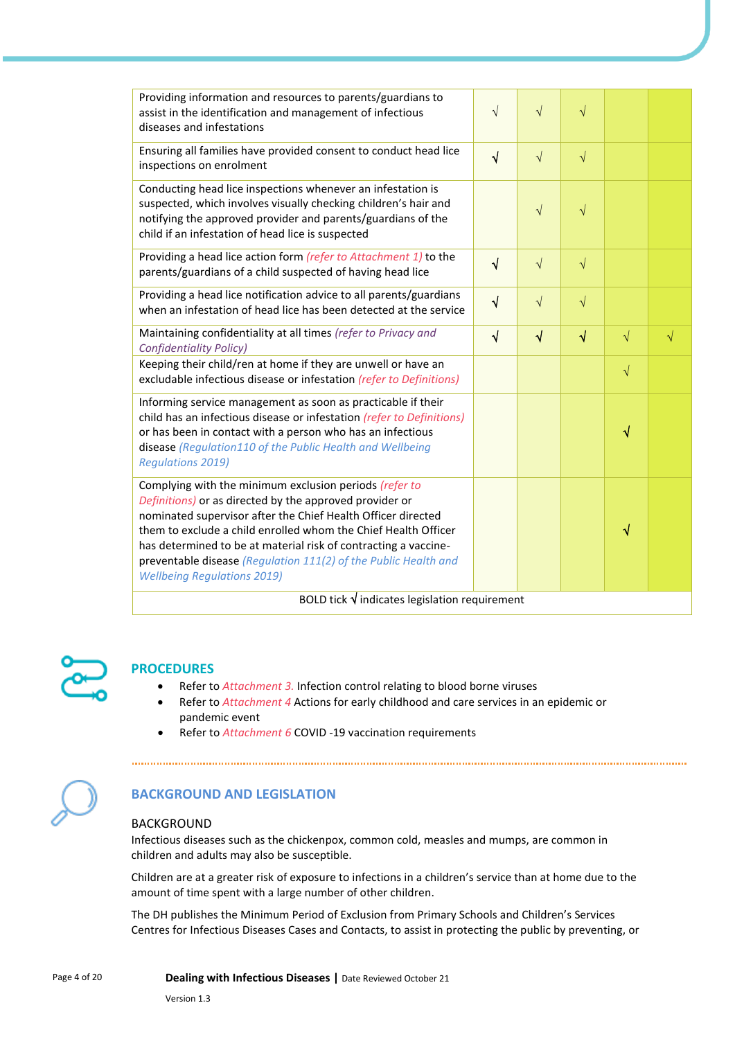| Providing information and resources to parents/guardians to<br>assist in the identification and management of infectious<br>diseases and infestations                                                                                                                                                                                                                                                                           | $\sqrt{ }$ | $\sqrt{ }$ | $\sqrt{}$ |           |           |
|---------------------------------------------------------------------------------------------------------------------------------------------------------------------------------------------------------------------------------------------------------------------------------------------------------------------------------------------------------------------------------------------------------------------------------|------------|------------|-----------|-----------|-----------|
| Ensuring all families have provided consent to conduct head lice<br>inspections on enrolment                                                                                                                                                                                                                                                                                                                                    | $\sqrt{ }$ | $\sqrt{ }$ | $\sqrt{}$ |           |           |
| Conducting head lice inspections whenever an infestation is<br>suspected, which involves visually checking children's hair and<br>notifying the approved provider and parents/guardians of the<br>child if an infestation of head lice is suspected                                                                                                                                                                             |            | $\sqrt{ }$ | $\sqrt{}$ |           |           |
| Providing a head lice action form (refer to Attachment 1) to the<br>parents/guardians of a child suspected of having head lice                                                                                                                                                                                                                                                                                                  | $\sqrt{ }$ | $\sqrt{ }$ | $\sqrt{}$ |           |           |
| Providing a head lice notification advice to all parents/guardians<br>when an infestation of head lice has been detected at the service                                                                                                                                                                                                                                                                                         | $\sqrt{ }$ | $\sqrt{ }$ | $\sqrt{}$ |           |           |
| Maintaining confidentiality at all times (refer to Privacy and<br><b>Confidentiality Policy)</b>                                                                                                                                                                                                                                                                                                                                | $\sqrt{ }$ | $\sqrt{ }$ | $\sqrt{}$ | $\sqrt{}$ | $\sqrt{}$ |
| Keeping their child/ren at home if they are unwell or have an<br>excludable infectious disease or infestation (refer to Definitions)                                                                                                                                                                                                                                                                                            |            |            |           | $\sqrt{}$ |           |
| Informing service management as soon as practicable if their<br>child has an infectious disease or infestation (refer to Definitions)<br>or has been in contact with a person who has an infectious<br>disease (Regulation110 of the Public Health and Wellbeing<br><b>Regulations 2019)</b>                                                                                                                                    |            |            |           | √         |           |
| Complying with the minimum exclusion periods (refer to<br>Definitions) or as directed by the approved provider or<br>nominated supervisor after the Chief Health Officer directed<br>them to exclude a child enrolled whom the Chief Health Officer<br>has determined to be at material risk of contracting a vaccine-<br>preventable disease (Regulation 111(2) of the Public Health and<br><b>Wellbeing Regulations 2019)</b> |            |            |           | √         |           |
| BOLD tick $\sqrt{}$ indicates legislation requirement                                                                                                                                                                                                                                                                                                                                                                           |            |            |           |           |           |



### **PROCEDURES**

- Refer to *Attachment 3.* Infection control relating to blood borne viruses
- Refer to *Attachment 4* Actions for early childhood and care services in an epidemic or pandemic event

• Refer to *Attachment 6* COVID -19 vaccination requirements



### **BACKGROUND AND LEGISLATION**

#### BACKGROUND

Infectious diseases such as the chickenpox, common cold, measles and mumps, are common in children and adults may also be susceptible.

Children are at a greater risk of exposure to infections in a children's service than at home due to the amount of time spent with a large number of other children.

The DH publishes the Minimum Period of Exclusion from Primary Schools and Children's Services Centres for Infectious Diseases Cases and Contacts, to assist in protecting the public by preventing, or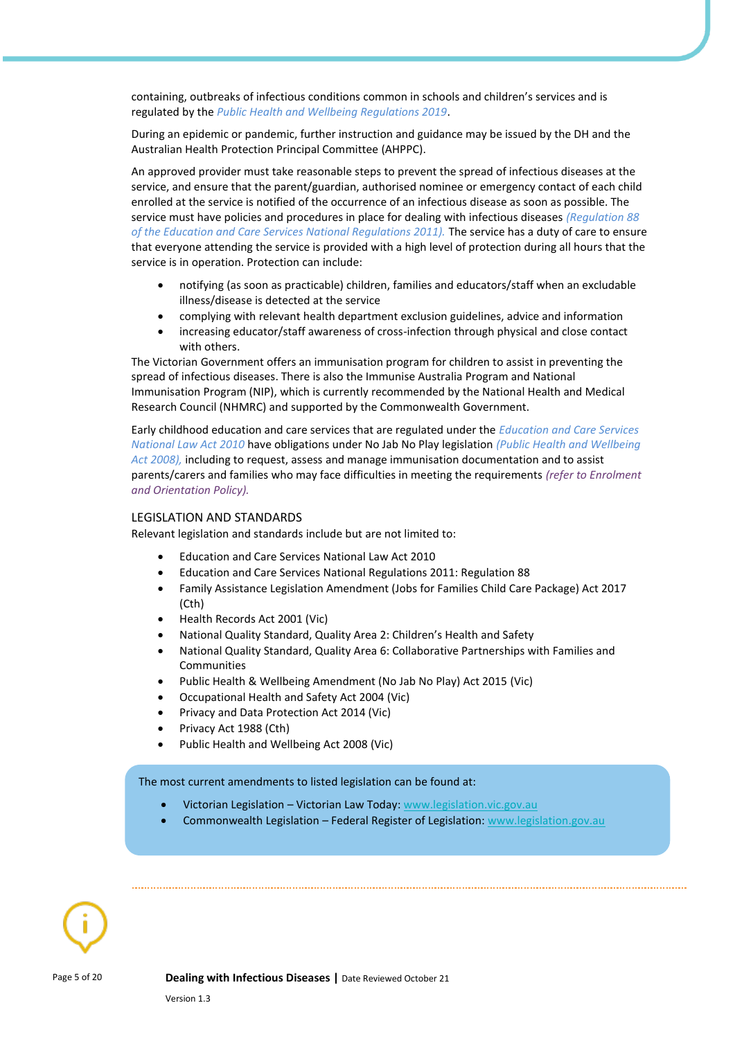containing, outbreaks of infectious conditions common in schools and children's services and is regulated by the *Public Health and Wellbeing Regulations 2019*.

During an epidemic or pandemic, further instruction and guidance may be issued by the DH and the Australian Health Protection Principal Committee (AHPPC).

An approved provider must take reasonable steps to prevent the spread of infectious diseases at the service, and ensure that the parent/guardian, authorised nominee or emergency contact of each child enrolled at the service is notified of the occurrence of an infectious disease as soon as possible. The service must have policies and procedures in place for dealing with infectious diseases *(Regulation 88 of the Education and Care Services National Regulations 2011).* The service has a duty of care to ensure that everyone attending the service is provided with a high level of protection during all hours that the service is in operation. Protection can include:

- notifying (as soon as practicable) children, families and educators/staff when an excludable illness/disease is detected at the service
- complying with relevant health department exclusion guidelines, advice and information
- increasing educator/staff awareness of cross-infection through physical and close contact with others.

The Victorian Government offers an immunisation program for children to assist in preventing the spread of infectious diseases. There is also the Immunise Australia Program and National Immunisation Program (NIP), which is currently recommended by the National Health and Medical Research Council (NHMRC) and supported by the Commonwealth Government.

Early childhood education and care services that are regulated under the *Education and Care Services National Law Act 2010* have obligations under No Jab No Play legislation *(Public Health and Wellbeing Act 2008),* including to request, assess and manage immunisation documentation and to assist parents/carers and families who may face difficulties in meeting the requirements *(refer to Enrolment and Orientation Policy).*

#### LEGISLATION AND STANDARDS

Relevant legislation and standards include but are not limited to:

- Education and Care Services National Law Act 2010
- Education and Care Services National Regulations 2011: Regulation 88
- Family Assistance Legislation Amendment (Jobs for Families Child Care Package) Act 2017 (Cth)
- Health Records Act 2001 (Vic)
- National Quality Standard, Quality Area 2: Children's Health and Safety
- National Quality Standard, Quality Area 6: Collaborative Partnerships with Families and Communities
- Public Health & Wellbeing Amendment (No Jab No Play) Act 2015 (Vic)
- Occupational Health and Safety Act 2004 (Vic)
- Privacy and Data Protection Act 2014 (Vic)
- Privacy Act 1988 (Cth)
- Public Health and Wellbeing Act 2008 (Vic)

The most current amendments to listed legislation can be found at:

- Victorian Legislation Victorian Law Today: [www.legislation.vic.gov.au](http://www.legislation.vic.gov.au/)
- Commonwealth Legislation Federal Register of Legislation: [www.legislation.gov.au](http://www.legislation.gov.au/)

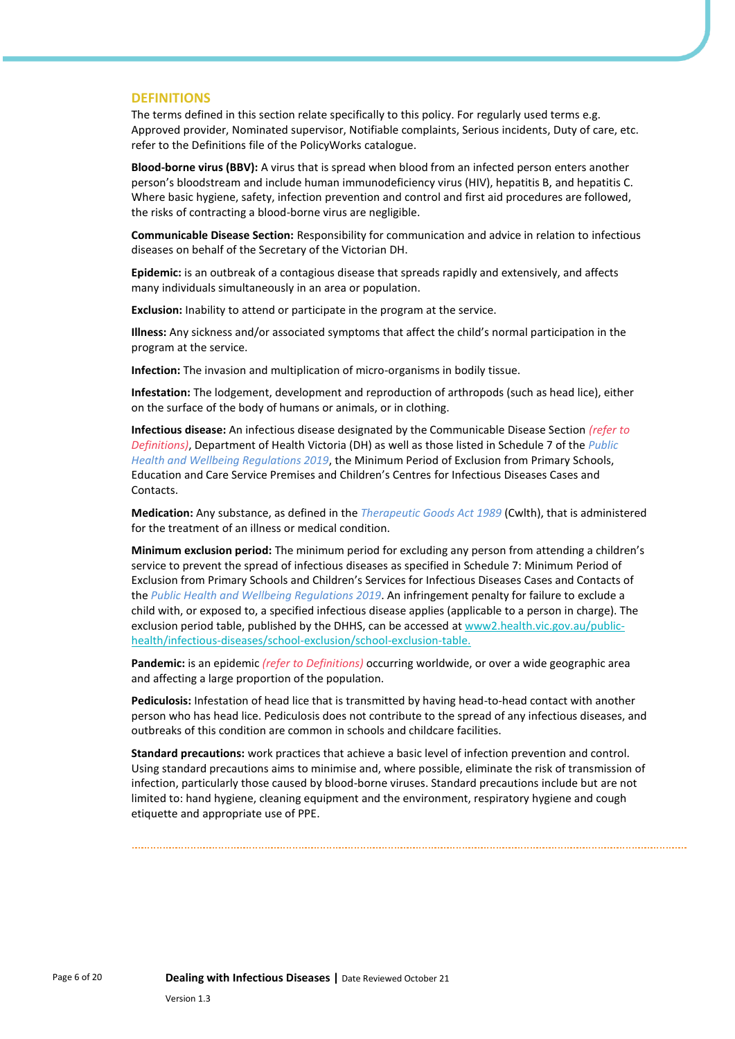#### **DEFINITIONS**

The terms defined in this section relate specifically to this policy. For regularly used terms e.g. Approved provider, Nominated supervisor, Notifiable complaints, Serious incidents, Duty of care, etc. refer to the Definitions file of the PolicyWorks catalogue.

**Blood-borne virus (BBV):** A virus that is spread when blood from an infected person enters another person's bloodstream and include human immunodeficiency virus (HIV), hepatitis B, and hepatitis C. Where basic hygiene, safety, infection prevention and control and first aid procedures are followed, the risks of contracting a blood-borne virus are negligible.

**Communicable Disease Section:** Responsibility for communication and advice in relation to infectious diseases on behalf of the Secretary of the Victorian DH.

**Epidemic:** is an outbreak of a contagious disease that spreads rapidly and extensively, and affects many individuals simultaneously in an area or population.

**Exclusion:** Inability to attend or participate in the program at the service.

**Illness:** Any sickness and/or associated symptoms that affect the child's normal participation in the program at the service.

**Infection:** The invasion and multiplication of micro-organisms in bodily tissue.

**Infestation:** The lodgement, development and reproduction of arthropods (such as head lice), either on the surface of the body of humans or animals, or in clothing.

**Infectious disease:** An infectious disease designated by the Communicable Disease Section *(refer to Definitions)*, Department of Health Victoria (DH) as well as those listed in Schedule 7 of the *Public Health and Wellbeing Regulations 2019*, the Minimum Period of Exclusion from Primary Schools, Education and Care Service Premises and Children's Centres for Infectious Diseases Cases and **Contacts** 

**Medication:** Any substance, as defined in the *Therapeutic Goods Act 1989* (Cwlth), that is administered for the treatment of an illness or medical condition.

**Minimum exclusion period:** The minimum period for excluding any person from attending a children's service to prevent the spread of infectious diseases as specified in Schedule 7: Minimum Period of Exclusion from Primary Schools and Children's Services for Infectious Diseases Cases and Contacts of the *Public Health and Wellbeing Regulations 2019*. An infringement penalty for failure to exclude a child with, or exposed to, a specified infectious disease applies (applicable to a person in charge). The exclusion period table, published by the DHHS, can be accessed a[t www2.health.vic.gov.au/public](https://www2.health.vic.gov.au/public-health/infectious-diseases/school-exclusion/school-exclusion-table.)[health/infectious-diseases/school-exclusion/school-exclusion-table.](https://www2.health.vic.gov.au/public-health/infectious-diseases/school-exclusion/school-exclusion-table.)

**Pandemic:** is an epidemic *(refer to Definitions)* occurring worldwide, or over a wide geographic area and affecting a large proportion of the population.

**Pediculosis:** Infestation of head lice that is transmitted by having head-to-head contact with another person who has head lice. Pediculosis does not contribute to the spread of any infectious diseases, and outbreaks of this condition are common in schools and childcare facilities.

**Standard precautions:** work practices that achieve a basic level of infection prevention and control. Using standard precautions aims to minimise and, where possible, eliminate the risk of transmission of infection, particularly those caused by blood-borne viruses. Standard precautions include but are not limited to: hand hygiene, cleaning equipment and the environment, respiratory hygiene and cough etiquette and appropriate use of PPE.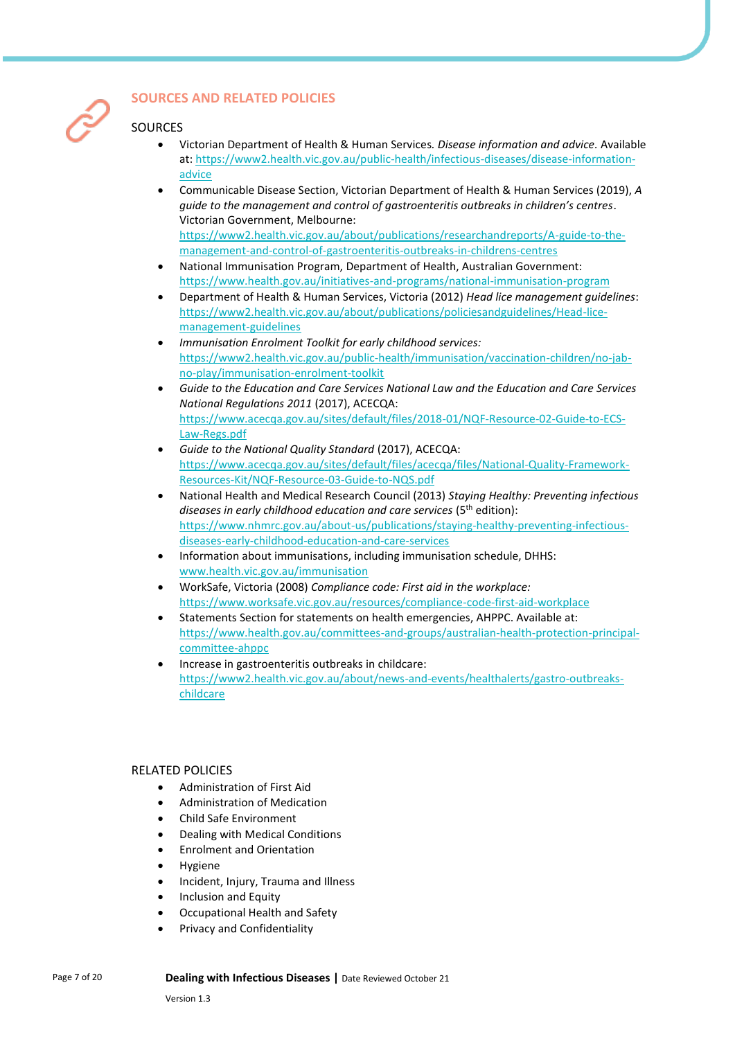

### **SOURCES AND RELATED POLICIES**

### SOURCES

- Victorian Department of Health & Human Services*. Disease information and advice.* Available at[: https://www2.health.vic.gov.au/public-health/infectious-diseases/disease-information](https://www2.health.vic.gov.au/public-health/infectious-diseases/disease-information-advice)[advice](https://www2.health.vic.gov.au/public-health/infectious-diseases/disease-information-advice)
- Communicable Disease Section, Victorian Department of Health & Human Services (2019), *A guide to the management and control of gastroenteritis outbreaks in children's centres*. Victorian Government, Melbourne: [https://www2.health.vic.gov.au/about/publications/researchandreports/A-guide-to-the](https://www2.health.vic.gov.au/about/publications/researchandreports/A-guide-to-the-management-and-control-of-gastroenteritis-outbreaks-in-childrens-centres)[management-and-control-of-gastroenteritis-outbreaks-in-childrens-centres](https://www2.health.vic.gov.au/about/publications/researchandreports/A-guide-to-the-management-and-control-of-gastroenteritis-outbreaks-in-childrens-centres)
- National Immunisation Program, Department of Health, Australian Government: <https://www.health.gov.au/initiatives-and-programs/national-immunisation-program>
- Department of Health & Human Services, Victoria (2012) *Head lice management guidelines*: [https://www2.health.vic.gov.au/about/publications/policiesandguidelines/Head-lice](https://www2.health.vic.gov.au/about/publications/policiesandguidelines/Head-lice-management-guidelines)[management-guidelines](https://www2.health.vic.gov.au/about/publications/policiesandguidelines/Head-lice-management-guidelines)
- *Immunisation Enrolment Toolkit for early childhood services:*  [https://www2.health.vic.gov.au/public-health/immunisation/vaccination-children/no-jab](https://www2.health.vic.gov.au/public-health/immunisation/vaccination-children/no-jab-no-play/immunisation-enrolment-toolkit)[no-play/immunisation-enrolment-toolkit](https://www2.health.vic.gov.au/public-health/immunisation/vaccination-children/no-jab-no-play/immunisation-enrolment-toolkit)
- *Guide to the Education and Care Services National Law and the Education and Care Services National Regulations 2011* (2017), ACECQA: [https://www.acecqa.gov.au/sites/default/files/2018-01/NQF-Resource-02-Guide-to-ECS-](https://www.acecqa.gov.au/sites/default/files/2018-01/NQF-Resource-02-Guide-to-ECS-Law-Regs.pdf)[Law-Regs.pdf](https://www.acecqa.gov.au/sites/default/files/2018-01/NQF-Resource-02-Guide-to-ECS-Law-Regs.pdf)
- *Guide to the National Quality Standard* (2017), ACECQA: [https://www.acecqa.gov.au/sites/default/files/acecqa/files/National-Quality-Framework-](https://www.acecqa.gov.au/sites/default/files/acecqa/files/National-Quality-Framework-Resources-Kit/NQF-Resource-03-Guide-to-NQS.pdf)[Resources-Kit/NQF-Resource-03-Guide-to-NQS.pdf](https://www.acecqa.gov.au/sites/default/files/acecqa/files/National-Quality-Framework-Resources-Kit/NQF-Resource-03-Guide-to-NQS.pdf)
- National Health and Medical Research Council (2013) *Staying Healthy: Preventing infectious*  diseases in early childhood education and care services (5<sup>th</sup> edition): [https://www.nhmrc.gov.au/about-us/publications/staying-healthy-preventing-infectious](https://www.nhmrc.gov.au/about-us/publications/staying-healthy-preventing-infectious-diseases-early-childhood-education-and-care-services)[diseases-early-childhood-education-and-care-services](https://www.nhmrc.gov.au/about-us/publications/staying-healthy-preventing-infectious-diseases-early-childhood-education-and-care-services)
- Information about immunisations, including immunisation schedule, DHHS: [www.health.vic.gov.au/immunisation](http://www.health.vic.gov.au/immunisation)
- WorkSafe, Victoria (2008) *Compliance code: First aid in the workplace:*  <https://www.worksafe.vic.gov.au/resources/compliance-code-first-aid-workplace>
- Statements Section for statements on health emergencies, AHPPC. Available at: [https://www.health.gov.au/committees-and-groups/australian-health-protection-principal](https://www.health.gov.au/committees-and-groups/australian-health-protection-principal-committee-ahppc)[committee-ahppc](https://www.health.gov.au/committees-and-groups/australian-health-protection-principal-committee-ahppc)
- Increase in gastroenteritis outbreaks in childcare: [https://www2.health.vic.gov.au/about/news-and-events/healthalerts/gastro-outbreaks](https://www2.health.vic.gov.au/about/news-and-events/healthalerts/gastro-outbreaks-childcare)[childcare](https://www2.health.vic.gov.au/about/news-and-events/healthalerts/gastro-outbreaks-childcare)

### RELATED POLICIES

- Administration of First Aid
- Administration of Medication
- Child Safe Environment
- Dealing with Medical Conditions
- Enrolment and Orientation
- **Hygiene**
- Incident, Injury, Trauma and Illness
- Inclusion and Equity
- Occupational Health and Safety
- Privacy and Confidentiality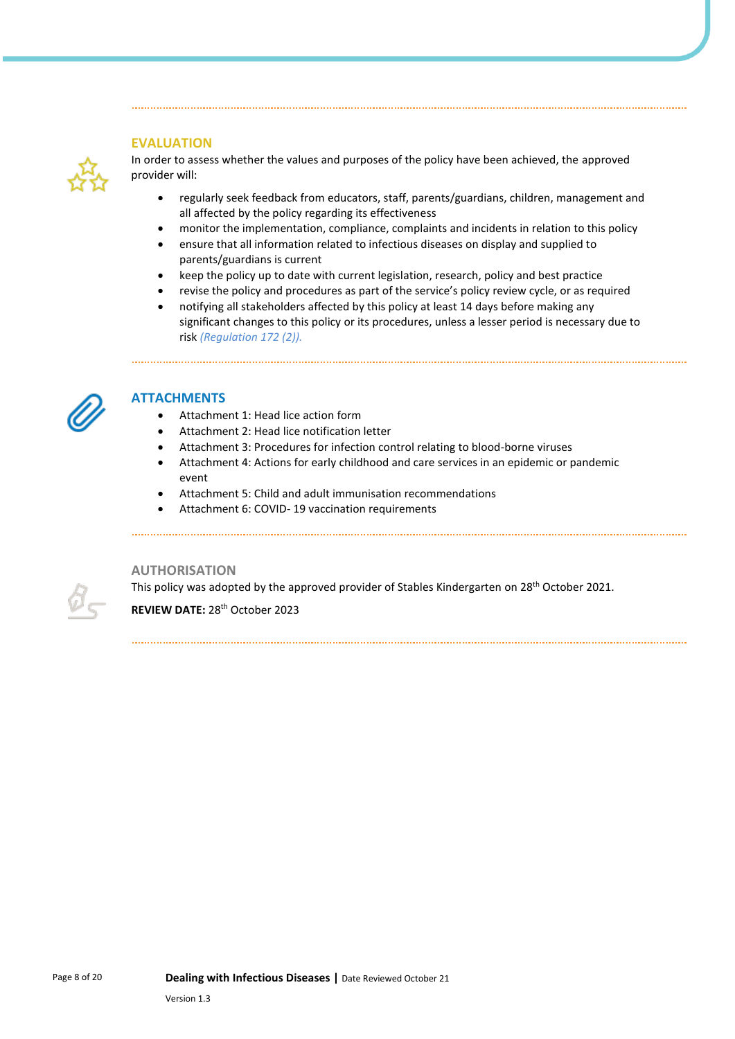### **EVALUATION**



In order to assess whether the values and purposes of the policy have been achieved, the approved provider will:

- regularly seek feedback from educators, staff, parents/guardians, children, management and all affected by the policy regarding its effectiveness
- monitor the implementation, compliance, complaints and incidents in relation to this policy
- ensure that all information related to infectious diseases on display and supplied to parents/guardians is current
- keep the policy up to date with current legislation, research, policy and best practice
- revise the policy and procedures as part of the service's policy review cycle, or as required
- notifying all stakeholders affected by this policy at least 14 days before making any significant changes to this policy or its procedures, unless a lesser period is necessary due to risk *(Regulation 172 (2)).*



### **ATTACHMENTS**

- Attachment 1: Head lice action form
- Attachment 2: Head lice notification letter
- Attachment 3: Procedures for infection control relating to blood-borne viruses
- Attachment 4: Actions for early childhood and care services in an epidemic or pandemic event
- Attachment 5: Child and adult immunisation recommendations
- Attachment 6: COVID- 19 vaccination requirements

#### **AUTHORISATION**

This policy was adopted by the approved provider of Stables Kindergarten on 28<sup>th</sup> October 2021.

REVIEW DATE: 28<sup>th</sup> October 2023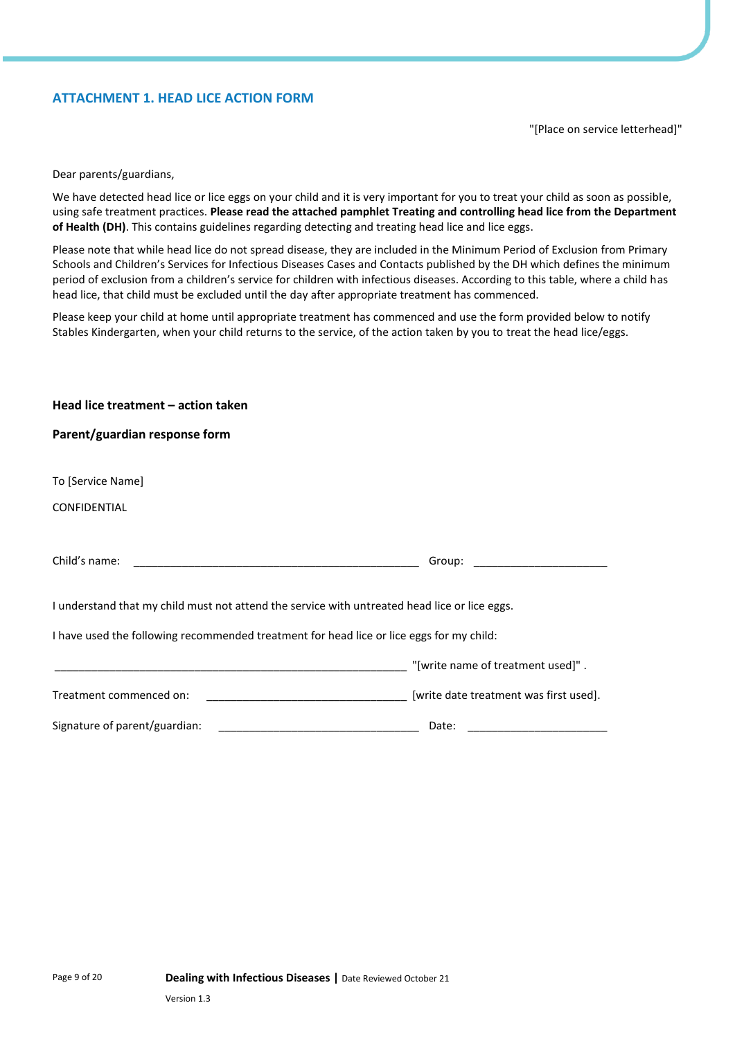### **ATTACHMENT 1. HEAD LICE ACTION FORM**

"[Place on service letterhead]"

Dear parents/guardians,

We have detected head lice or lice eggs on your child and it is very important for you to treat your child as soon as possible, using safe treatment practices. **Please read the attached pamphlet Treating and controlling head lice from the Department of Health (DH)**. This contains guidelines regarding detecting and treating head lice and lice eggs.

Please note that while head lice do not spread disease, they are included in the Minimum Period of Exclusion from Primary Schools and Children's Services for Infectious Diseases Cases and Contacts published by the DH which defines the minimum period of exclusion from a children's service for children with infectious diseases. According to this table, where a child has head lice, that child must be excluded until the day after appropriate treatment has commenced.

Please keep your child at home until appropriate treatment has commenced and use the form provided below to notify Stables Kindergarten, when your child returns to the service, of the action taken by you to treat the head lice/eggs.

| Head lice treatment - action taken                                                                                                                                                                                                                                    |                                        |
|-----------------------------------------------------------------------------------------------------------------------------------------------------------------------------------------------------------------------------------------------------------------------|----------------------------------------|
| Parent/guardian response form                                                                                                                                                                                                                                         |                                        |
|                                                                                                                                                                                                                                                                       |                                        |
| To [Service Name]                                                                                                                                                                                                                                                     |                                        |
| CONFIDENTIAL                                                                                                                                                                                                                                                          |                                        |
|                                                                                                                                                                                                                                                                       |                                        |
| Child's name:                                                                                                                                                                                                                                                         | Group:                                 |
|                                                                                                                                                                                                                                                                       |                                        |
| I understand that my child must not attend the service with untreated head lice or lice eggs.                                                                                                                                                                         |                                        |
| I have used the following recommended treatment for head lice or lice eggs for my child:                                                                                                                                                                              |                                        |
| <u> 1999 - Johann Harry Harry Harry Harry Harry Harry Harry Harry Harry Harry Harry Harry Harry Harry Harry Harry</u>                                                                                                                                                 | "[write name of treatment used]".      |
| Treatment commenced on:                                                                                                                                                                                                                                               | [write date treatment was first used]. |
| Signature of parent/guardian:<br><u> 1989 - Johann John Stein, mars et al. 1989 - John Stein, mars et al. 1989 - John Stein, mars et al. 1989 - John Stein Stein Stein Stein Stein Stein Stein Stein Stein Stein Stein Stein Stein Stein Stein Stein Stein Stein </u> | Date:                                  |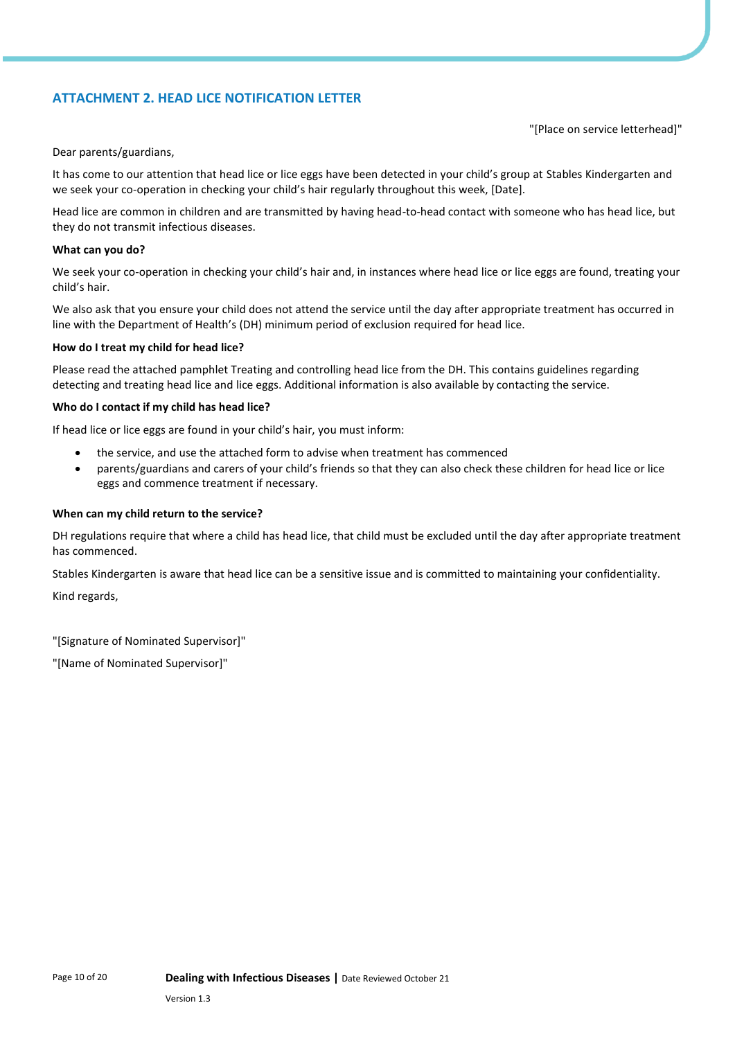### **ATTACHMENT 2. HEAD LICE NOTIFICATION LETTER**

"[Place on service letterhead]"

Dear parents/guardians,

It has come to our attention that head lice or lice eggs have been detected in your child's group at Stables Kindergarten and we seek your co-operation in checking your child's hair regularly throughout this week, [Date].

Head lice are common in children and are transmitted by having head-to-head contact with someone who has head lice, but they do not transmit infectious diseases.

#### **What can you do?**

We seek your co-operation in checking your child's hair and, in instances where head lice or lice eggs are found, treating your child's hair.

We also ask that you ensure your child does not attend the service until the day after appropriate treatment has occurred in line with the Department of Health's (DH) minimum period of exclusion required for head lice.

#### **How do I treat my child for head lice?**

Please read the attached pamphlet Treating and controlling head lice from the DH. This contains guidelines regarding detecting and treating head lice and lice eggs. Additional information is also available by contacting the service.

#### **Who do I contact if my child has head lice?**

If head lice or lice eggs are found in your child's hair, you must inform:

- the service, and use the attached form to advise when treatment has commenced
- parents/guardians and carers of your child's friends so that they can also check these children for head lice or lice eggs and commence treatment if necessary.

#### **When can my child return to the service?**

DH regulations require that where a child has head lice, that child must be excluded until the day after appropriate treatment has commenced.

Stables Kindergarten is aware that head lice can be a sensitive issue and is committed to maintaining your confidentiality.

Kind regards,

"[Signature of Nominated Supervisor]"

"[Name of Nominated Supervisor]"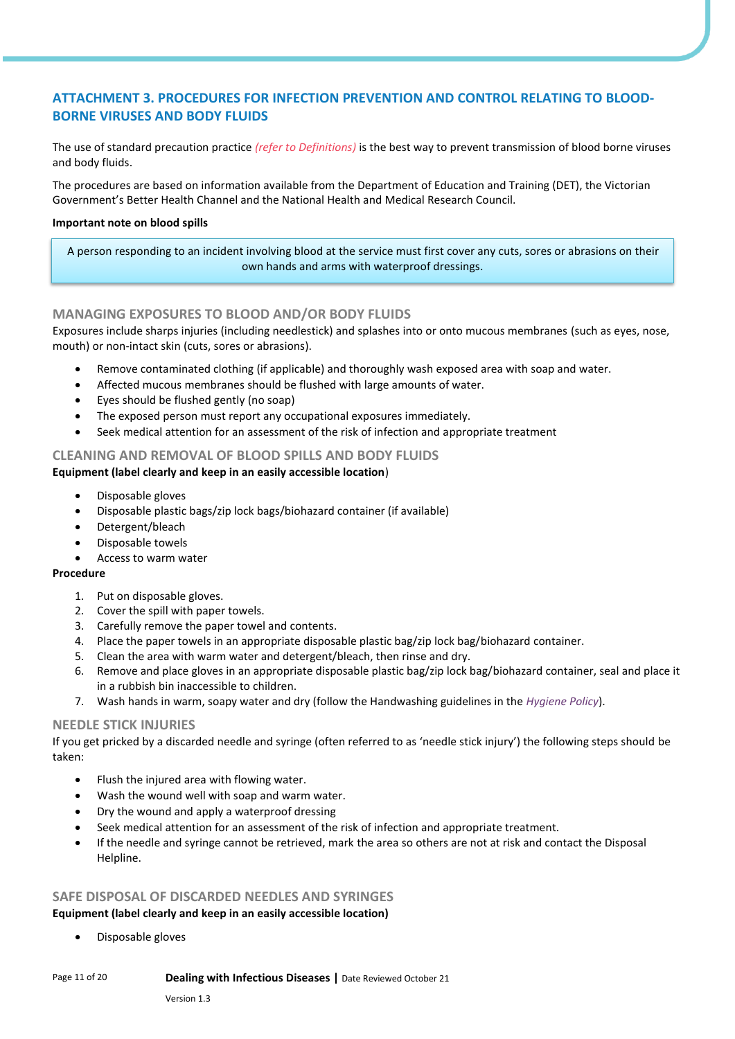### **ATTACHMENT 3. PROCEDURES FOR INFECTION PREVENTION AND CONTROL RELATING TO BLOOD-BORNE VIRUSES AND BODY FLUIDS**

The use of standard precaution practice *(refer to Definitions)* is the best way to prevent transmission of blood borne viruses and body fluids.

The procedures are based on information available from the Department of Education and Training (DET), the Victorian Government's Better Health Channel and the National Health and Medical Research Council.

#### **Important note on blood spills**

A person responding to an incident involving blood at the service must first cover any cuts, sores or abrasions on their own hands and arms with waterproof dressings.

### **MANAGING EXPOSURES TO BLOOD AND/OR BODY FLUIDS**

Exposures include sharps injuries (including needlestick) and splashes into or onto mucous membranes (such as eyes, nose, mouth) or non-intact skin (cuts, sores or abrasions).

- Remove contaminated clothing (if applicable) and thoroughly wash exposed area with soap and water.
- Affected mucous membranes should be flushed with large amounts of water.
- Eyes should be flushed gently (no soap)
- The exposed person must report any occupational exposures immediately.
- Seek medical attention for an assessment of the risk of infection and appropriate treatment

### **CLEANING AND REMOVAL OF BLOOD SPILLS AND BODY FLUIDS**

### **Equipment (label clearly and keep in an easily accessible location**)

- Disposable gloves
- Disposable plastic bags/zip lock bags/biohazard container (if available)
- Detergent/bleach
- Disposable towels
- Access to warm water

### **Procedure**

- 1. Put on disposable gloves.
- 2. Cover the spill with paper towels.
- 3. Carefully remove the paper towel and contents.
- 4. Place the paper towels in an appropriate disposable plastic bag/zip lock bag/biohazard container.
- 5. Clean the area with warm water and detergent/bleach, then rinse and dry.
- 6. Remove and place gloves in an appropriate disposable plastic bag/zip lock bag/biohazard container, seal and place it in a rubbish bin inaccessible to children.
- 7. Wash hands in warm, soapy water and dry (follow the Handwashing guidelines in the *Hygiene Policy*).

### **NEEDLE STICK INJURIES**

If you get pricked by a discarded needle and syringe (often referred to as 'needle stick injury') the following steps should be taken:

- Flush the injured area with flowing water.
- Wash the wound well with soap and warm water.
- Dry the wound and apply a waterproof dressing
- Seek medical attention for an assessment of the risk of infection and appropriate treatment.
- If the needle and syringe cannot be retrieved, mark the area so others are not at risk and contact the Disposal Helpline.

## **SAFE DISPOSAL OF DISCARDED NEEDLES AND SYRINGES**

### **Equipment (label clearly and keep in an easily accessible location)**

• Disposable gloves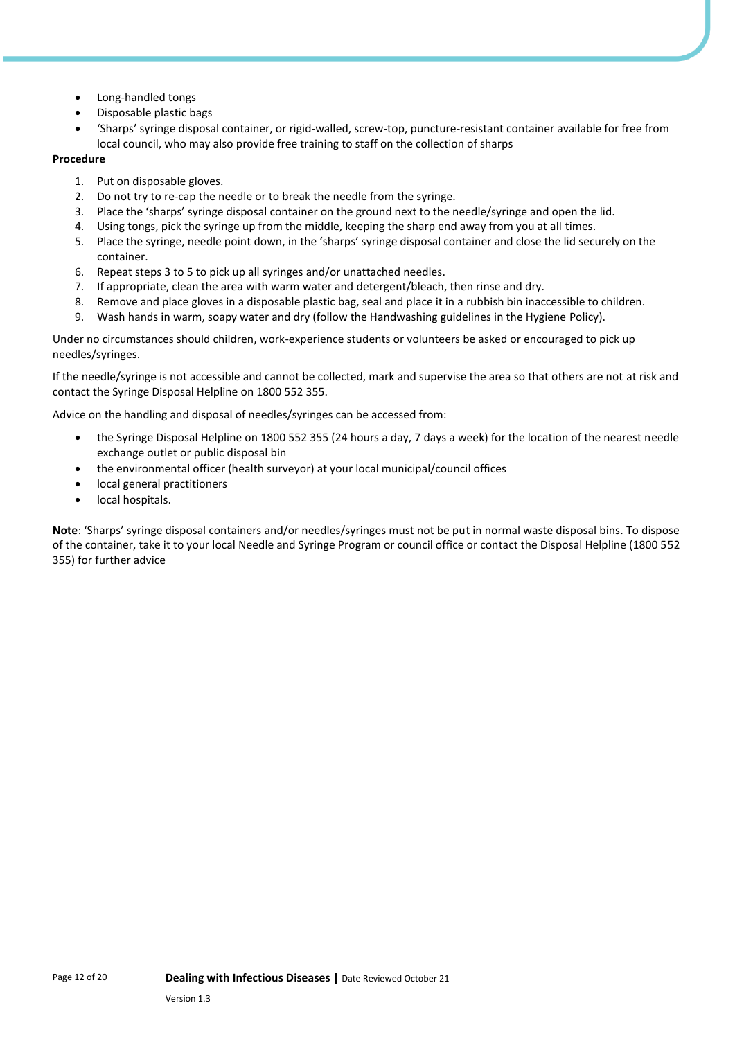- Long-handled tongs
- Disposable plastic bags
- 'Sharps' syringe disposal container, or rigid-walled, screw-top, puncture-resistant container available for free from local council, who may also provide free training to staff on the collection of sharps

### **Procedure**

- 1. Put on disposable gloves.
- 2. Do not try to re-cap the needle or to break the needle from the syringe.
- 3. Place the 'sharps' syringe disposal container on the ground next to the needle/syringe and open the lid.
- 4. Using tongs, pick the syringe up from the middle, keeping the sharp end away from you at all times.
- 5. Place the syringe, needle point down, in the 'sharps' syringe disposal container and close the lid securely on the container.
- 6. Repeat steps 3 to 5 to pick up all syringes and/or unattached needles.
- 7. If appropriate, clean the area with warm water and detergent/bleach, then rinse and dry.
- 8. Remove and place gloves in a disposable plastic bag, seal and place it in a rubbish bin inaccessible to children.
- 9. Wash hands in warm, soapy water and dry (follow the Handwashing guidelines in the Hygiene Policy).

Under no circumstances should children, work-experience students or volunteers be asked or encouraged to pick up needles/syringes.

If the needle/syringe is not accessible and cannot be collected, mark and supervise the area so that others are not at risk and contact the Syringe Disposal Helpline on 1800 552 355.

Advice on the handling and disposal of needles/syringes can be accessed from:

- the Syringe Disposal Helpline on 1800 552 355 (24 hours a day, 7 days a week) for the location of the nearest needle exchange outlet or public disposal bin
- the environmental officer (health surveyor) at your local municipal/council offices
- local general practitioners
- local hospitals.

**Note**: 'Sharps' syringe disposal containers and/or needles/syringes must not be put in normal waste disposal bins. To dispose of the container, take it to your local Needle and Syringe Program or council office or contact the Disposal Helpline (1800 552 355) for further advice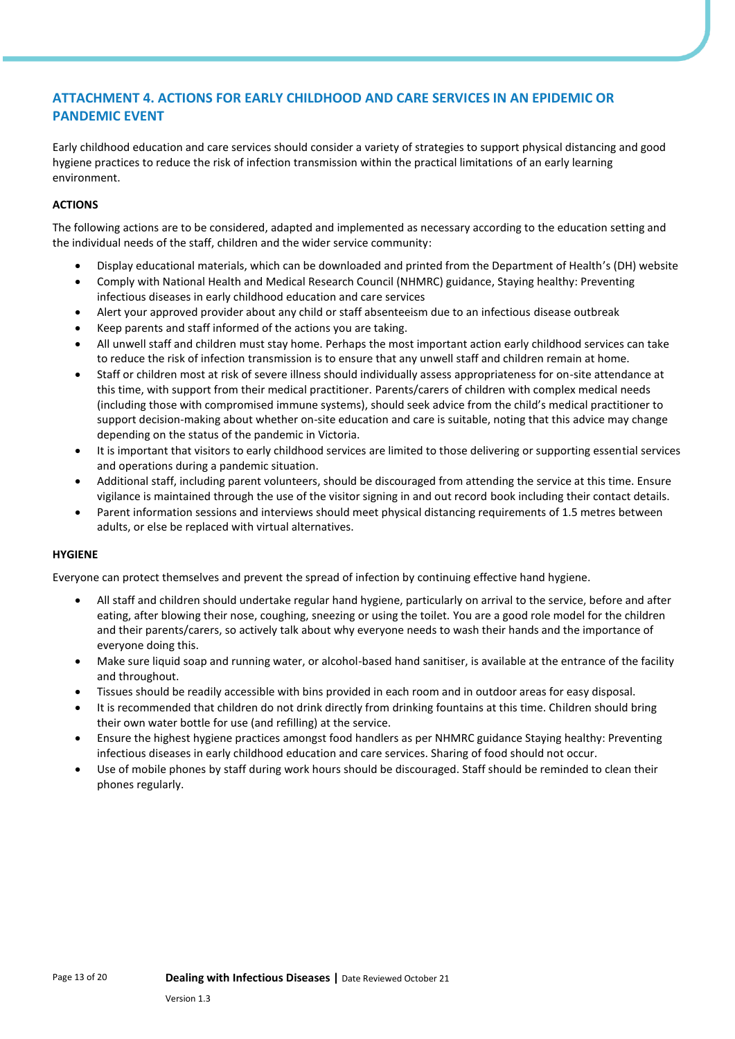### **ATTACHMENT 4. ACTIONS FOR EARLY CHILDHOOD AND CARE SERVICES IN AN EPIDEMIC OR PANDEMIC EVENT**

Early childhood education and care services should consider a variety of strategies to support physical distancing and good hygiene practices to reduce the risk of infection transmission within the practical limitations of an early learning environment.

### **ACTIONS**

The following actions are to be considered, adapted and implemented as necessary according to the education setting and the individual needs of the staff, children and the wider service community:

- Display educational materials, which can be downloaded and printed from the Department of Health's (DH) website
- Comply with National Health and Medical Research Council (NHMRC) guidance, Staying healthy: Preventing infectious diseases in early childhood education and care services
- Alert your approved provider about any child or staff absenteeism due to an infectious disease outbreak
- Keep parents and staff informed of the actions you are taking.
- All unwell staff and children must stay home. Perhaps the most important action early childhood services can take to reduce the risk of infection transmission is to ensure that any unwell staff and children remain at home.
- Staff or children most at risk of severe illness should individually assess appropriateness for on-site attendance at this time, with support from their medical practitioner. Parents/carers of children with complex medical needs (including those with compromised immune systems), should seek advice from the child's medical practitioner to support decision-making about whether on-site education and care is suitable, noting that this advice may change depending on the status of the pandemic in Victoria.
- It is important that visitors to early childhood services are limited to those delivering or supporting essential services and operations during a pandemic situation.
- Additional staff, including parent volunteers, should be discouraged from attending the service at this time. Ensure vigilance is maintained through the use of the visitor signing in and out record book including their contact details.
- Parent information sessions and interviews should meet physical distancing requirements of 1.5 metres between adults, or else be replaced with virtual alternatives.

### **HYGIENE**

Everyone can protect themselves and prevent the spread of infection by continuing effective hand hygiene.

- All staff and children should undertake regular hand hygiene, particularly on arrival to the service, before and after eating, after blowing their nose, coughing, sneezing or using the toilet. You are a good role model for the children and their parents/carers, so actively talk about why everyone needs to wash their hands and the importance of everyone doing this.
- Make sure liquid soap and running water, or alcohol-based hand sanitiser, is available at the entrance of the facility and throughout.
- Tissues should be readily accessible with bins provided in each room and in outdoor areas for easy disposal.
- It is recommended that children do not drink directly from drinking fountains at this time. Children should bring their own water bottle for use (and refilling) at the service.
- Ensure the highest hygiene practices amongst food handlers as per NHMRC guidance Staying healthy: Preventing infectious diseases in early childhood education and care services. Sharing of food should not occur.
- Use of mobile phones by staff during work hours should be discouraged. Staff should be reminded to clean their phones regularly.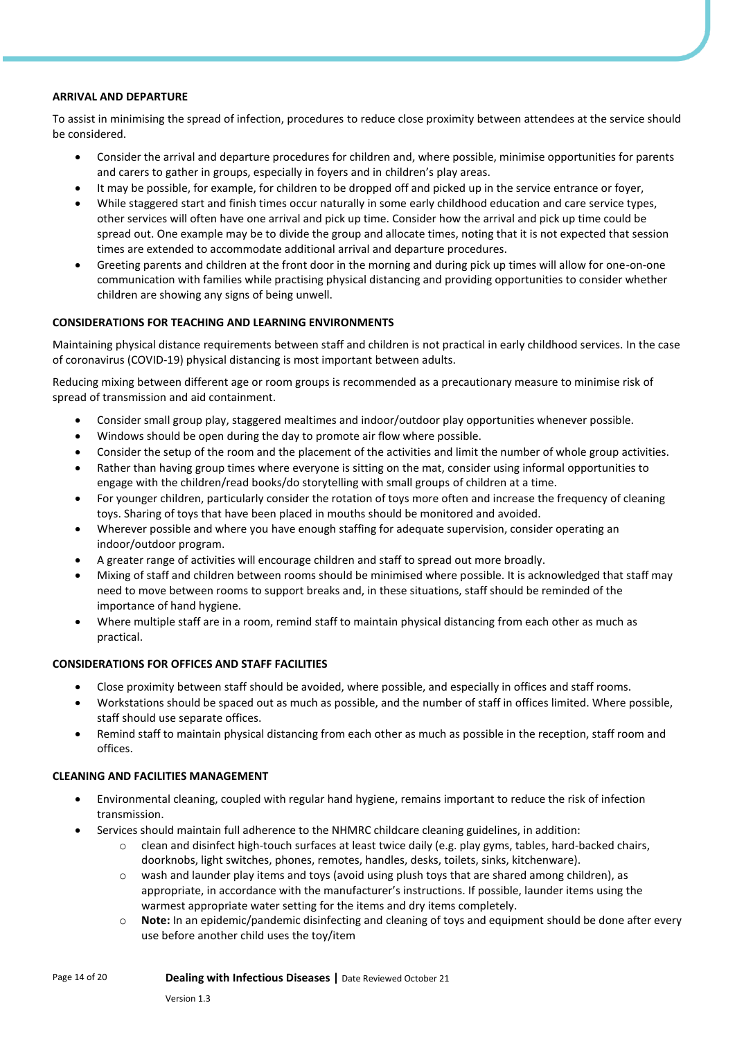#### **ARRIVAL AND DEPARTURE**

To assist in minimising the spread of infection, procedures to reduce close proximity between attendees at the service should be considered.

- Consider the arrival and departure procedures for children and, where possible, minimise opportunities for parents and carers to gather in groups, especially in foyers and in children's play areas.
- It may be possible, for example, for children to be dropped off and picked up in the service entrance or foyer,
- While staggered start and finish times occur naturally in some early childhood education and care service types, other services will often have one arrival and pick up time. Consider how the arrival and pick up time could be spread out. One example may be to divide the group and allocate times, noting that it is not expected that session times are extended to accommodate additional arrival and departure procedures.
- Greeting parents and children at the front door in the morning and during pick up times will allow for one-on-one communication with families while practising physical distancing and providing opportunities to consider whether children are showing any signs of being unwell.

### **CONSIDERATIONS FOR TEACHING AND LEARNING ENVIRONMENTS**

Maintaining physical distance requirements between staff and children is not practical in early childhood services. In the case of coronavirus (COVID-19) physical distancing is most important between adults.

Reducing mixing between different age or room groups is recommended as a precautionary measure to minimise risk of spread of transmission and aid containment.

- Consider small group play, staggered mealtimes and indoor/outdoor play opportunities whenever possible.
- Windows should be open during the day to promote air flow where possible.
- Consider the setup of the room and the placement of the activities and limit the number of whole group activities.
- Rather than having group times where everyone is sitting on the mat, consider using informal opportunities to engage with the children/read books/do storytelling with small groups of children at a time.
- For younger children, particularly consider the rotation of toys more often and increase the frequency of cleaning toys. Sharing of toys that have been placed in mouths should be monitored and avoided.
- Wherever possible and where you have enough staffing for adequate supervision, consider operating an indoor/outdoor program.
- A greater range of activities will encourage children and staff to spread out more broadly.
- Mixing of staff and children between rooms should be minimised where possible. It is acknowledged that staff may need to move between rooms to support breaks and, in these situations, staff should be reminded of the importance of hand hygiene.
- Where multiple staff are in a room, remind staff to maintain physical distancing from each other as much as practical.

### **CONSIDERATIONS FOR OFFICES AND STAFF FACILITIES**

- Close proximity between staff should be avoided, where possible, and especially in offices and staff rooms.
- Workstations should be spaced out as much as possible, and the number of staff in offices limited. Where possible, staff should use separate offices.
- Remind staff to maintain physical distancing from each other as much as possible in the reception, staff room and offices.

### **CLEANING AND FACILITIES MANAGEMENT**

- Environmental cleaning, coupled with regular hand hygiene, remains important to reduce the risk of infection transmission.
- Services should maintain full adherence to the NHMRC childcare cleaning guidelines, in addition:
	- $\circ$  clean and disinfect high-touch surfaces at least twice daily (e.g. play gyms, tables, hard-backed chairs, doorknobs, light switches, phones, remotes, handles, desks, toilets, sinks, kitchenware).
	- $\circ$  wash and launder play items and toys (avoid using plush toys that are shared among children), as appropriate, in accordance with the manufacturer's instructions. If possible, launder items using the warmest appropriate water setting for the items and dry items completely.
	- Note: In an epidemic/pandemic disinfecting and cleaning of toys and equipment should be done after every use before another child uses the toy/item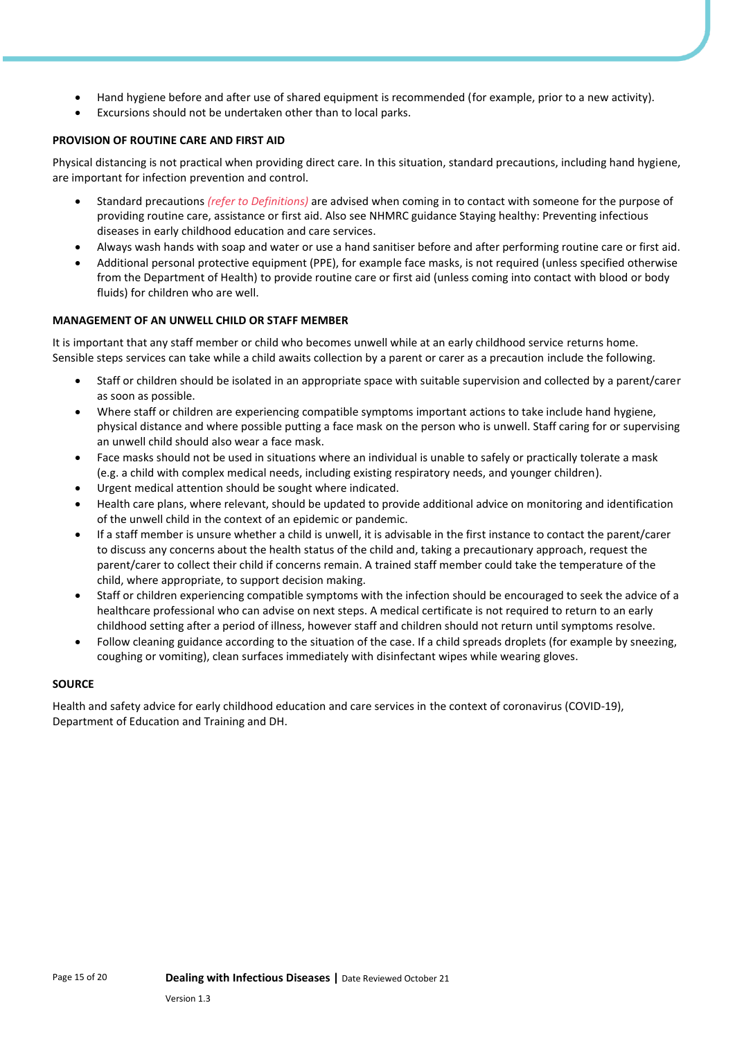- Hand hygiene before and after use of shared equipment is recommended (for example, prior to a new activity).
- Excursions should not be undertaken other than to local parks.

### **PROVISION OF ROUTINE CARE AND FIRST AID**

Physical distancing is not practical when providing direct care. In this situation, standard precautions, including hand hygiene, are important for infection prevention and control.

- Standard precautions *(refer to Definitions)* are advised when coming in to contact with someone for the purpose of providing routine care, assistance or first aid. Also see NHMRC guidance Staying healthy: Preventing infectious diseases in early childhood education and care services.
- Always wash hands with soap and water or use a hand sanitiser before and after performing routine care or first aid.
- Additional personal protective equipment (PPE), for example face masks, is not required (unless specified otherwise from the Department of Health) to provide routine care or first aid (unless coming into contact with blood or body fluids) for children who are well.

### **MANAGEMENT OF AN UNWELL CHILD OR STAFF MEMBER**

It is important that any staff member or child who becomes unwell while at an early childhood service returns home. Sensible steps services can take while a child awaits collection by a parent or carer as a precaution include the following.

- Staff or children should be isolated in an appropriate space with suitable supervision and collected by a parent/carer as soon as possible.
- Where staff or children are experiencing compatible symptoms important actions to take include hand hygiene, physical distance and where possible putting a face mask on the person who is unwell. Staff caring for or supervising an unwell child should also wear a face mask.
- Face masks should not be used in situations where an individual is unable to safely or practically tolerate a mask (e.g. a child with complex medical needs, including existing respiratory needs, and younger children).
- Urgent medical attention should be sought where indicated.
- Health care plans, where relevant, should be updated to provide additional advice on monitoring and identification of the unwell child in the context of an epidemic or pandemic.
- If a staff member is unsure whether a child is unwell, it is advisable in the first instance to contact the parent/carer to discuss any concerns about the health status of the child and, taking a precautionary approach, request the parent/carer to collect their child if concerns remain. A trained staff member could take the temperature of the child, where appropriate, to support decision making.
- Staff or children experiencing compatible symptoms with the infection should be encouraged to seek the advice of a healthcare professional who can advise on next steps. A medical certificate is not required to return to an early childhood setting after a period of illness, however staff and children should not return until symptoms resolve.
- Follow cleaning guidance according to the situation of the case. If a child spreads droplets (for example by sneezing, coughing or vomiting), clean surfaces immediately with disinfectant wipes while wearing gloves.

### **SOURCE**

Health and safety advice for early childhood education and care services in the context of coronavirus (COVID-19), Department of Education and Training and DH.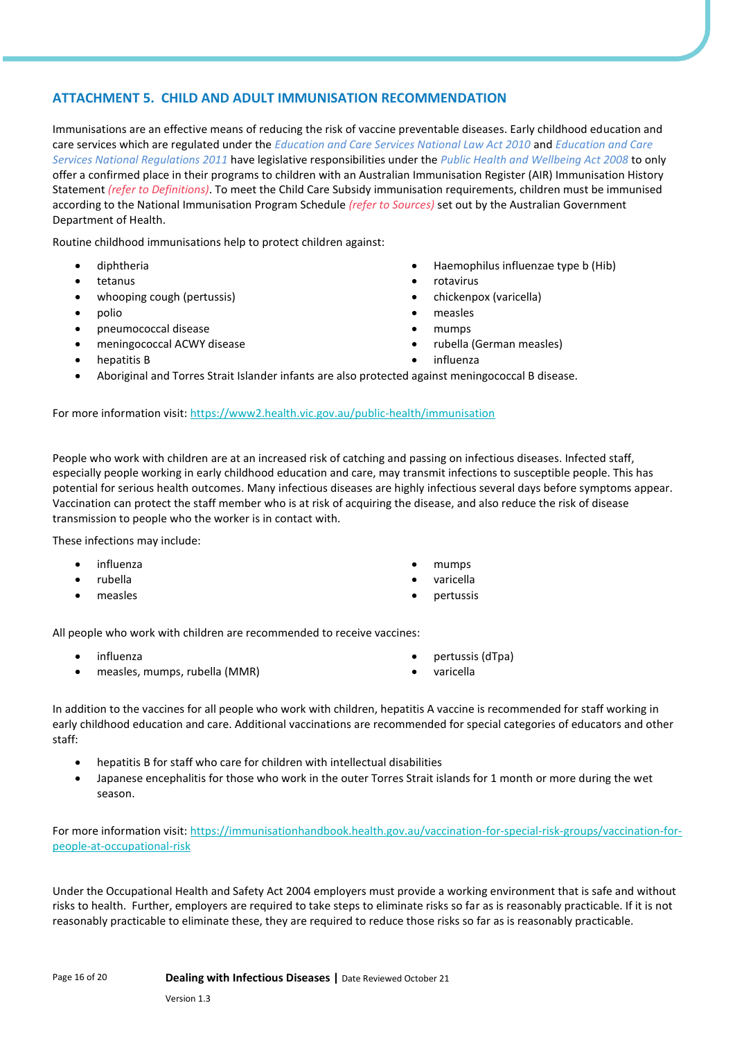### **ATTACHMENT 5. CHILD AND ADULT IMMUNISATION RECOMMENDATION**

Immunisations are an effective means of reducing the risk of vaccine preventable diseases. Early childhood education and care services which are regulated under the *Education and Care Services National Law Act 2010* and *Education and Care Services National Regulations 2011* have legislative responsibilities under the *Public Health and Wellbeing Act 2008* to only offer a confirmed place in their programs to children with an Australian Immunisation Register (AIR) Immunisation History Statement *(refer to Definitions)*. To meet the Child Care Subsidy immunisation requirements, children must be immunised according to the National Immunisation Program Schedule *(refer to Sources)* set out by the Australian Government Department of Health.

Routine childhood immunisations help to protect children against:

- diphtheria
- tetanus
- whooping cough (pertussis)
- polio
- pneumococcal disease
- meningococcal ACWY disease
- hepatitis B
- Haemophilus influenzae type b (Hib)
- rotavirus
- chickenpox (varicella)
- measles
- mumps
- rubella (German measles)
- influenza
- Aboriginal and Torres Strait Islander infants are also protected against meningococcal B disease.

For more information visit:<https://www2.health.vic.gov.au/public-health/immunisation>

People who work with children are at an increased risk of catching and passing on infectious diseases. Infected staff, especially people working in early childhood education and care, may transmit infections to susceptible people. This has potential for serious health outcomes. Many infectious diseases are highly infectious several days before symptoms appear. Vaccination can protect the staff member who is at risk of acquiring the disease, and also reduce the risk of disease transmission to people who the worker is in contact with.

These infections may include:

- influenza
- rubella
- measles
- mumps
- varicella
- pertussis

All people who work with children are recommended to receive vaccines:

- influenza
- measles, mumps, rubella (MMR)
- pertussis (dTpa)
- varicella

In addition to the vaccines for all people who work with children, hepatitis A vaccine is recommended for staff working in early childhood education and care. Additional vaccinations are recommended for special categories of educators and other staff:

- hepatitis B for staff who care for children with intellectual disabilities
- Japanese encephalitis for those who work in the outer Torres Strait islands for 1 month or more during the wet season.

For more information visit: [https://immunisationhandbook.health.gov.au/vaccination-for-special-risk-groups/vaccination-for](https://immunisationhandbook.health.gov.au/vaccination-for-special-risk-groups/vaccination-for-people-at-occupational-risk)[people-at-occupational-risk](https://immunisationhandbook.health.gov.au/vaccination-for-special-risk-groups/vaccination-for-people-at-occupational-risk)

Under the Occupational Health and Safety Act 2004 employers must provide a working environment that is safe and without risks to health. Further, employers are required to take steps to eliminate risks so far as is reasonably practicable. If it is not reasonably practicable to eliminate these, they are required to reduce those risks so far as is reasonably practicable.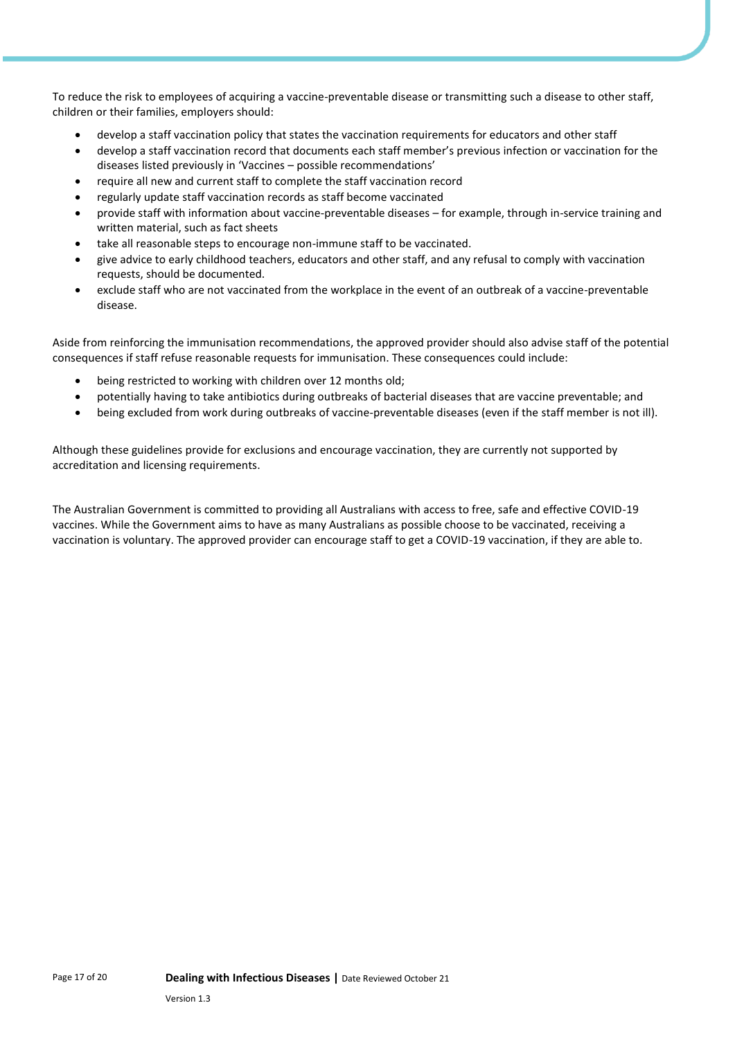To reduce the risk to employees of acquiring a vaccine-preventable disease or transmitting such a disease to other staff, children or their families, employers should:

- develop a staff vaccination policy that states the vaccination requirements for educators and other staff
- develop a staff vaccination record that documents each staff member's previous infection or vaccination for the diseases listed previously in 'Vaccines – possible recommendations'
- require all new and current staff to complete the staff vaccination record
- regularly update staff vaccination records as staff become vaccinated
- provide staff with information about vaccine-preventable diseases for example, through in-service training and written material, such as fact sheets
- take all reasonable steps to encourage non-immune staff to be vaccinated.
- give advice to early childhood teachers, educators and other staff, and any refusal to comply with vaccination requests, should be documented.
- exclude staff who are not vaccinated from the workplace in the event of an outbreak of a vaccine-preventable disease.

Aside from reinforcing the immunisation recommendations, the approved provider should also advise staff of the potential consequences if staff refuse reasonable requests for immunisation. These consequences could include:

- being restricted to working with children over 12 months old;
- potentially having to take antibiotics during outbreaks of bacterial diseases that are vaccine preventable; and
- being excluded from work during outbreaks of vaccine-preventable diseases (even if the staff member is not ill).

Although these guidelines provide for exclusions and encourage vaccination, they are currently not supported by accreditation and licensing requirements.

The Australian Government is committed to providing all Australians with access to free, safe and effective COVID-19 vaccines. While the Government aims to have as many Australians as possible choose to be vaccinated, receiving a vaccination is voluntary. The approved provider can encourage staff to get a COVID-19 vaccination, if they are able to.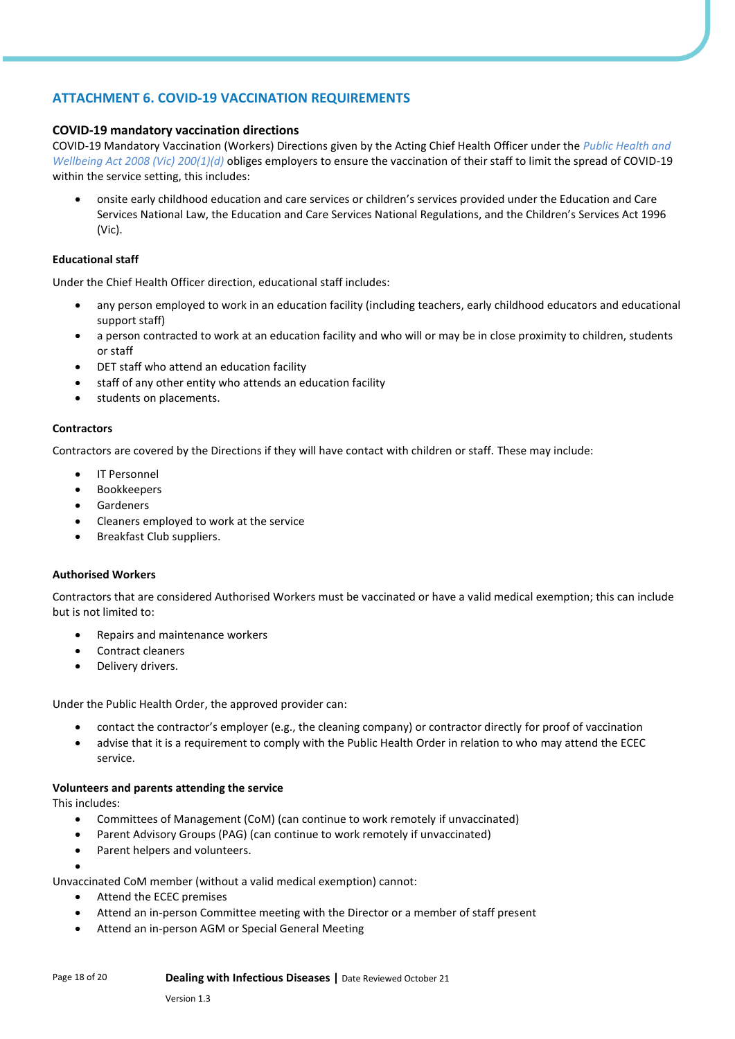### **ATTACHMENT 6. COVID-19 VACCINATION REQUIREMENTS**

### **COVID-19 mandatory vaccination directions**

COVID-19 Mandatory Vaccination (Workers) Directions given by the Acting Chief Health Officer under the *Public Health and Wellbeing Act 2008 (Vic) 200(1)(d)* obliges employers to ensure the vaccination of their staff to limit the spread of COVID-19 within the service setting, this includes:

• onsite early childhood education and care services or children's services provided under the Education and Care Services National Law, the Education and Care Services National Regulations, and the Children's Services Act 1996 (Vic).

### **Educational staff**

Under the Chief Health Officer direction, educational staff includes:

- any person employed to work in an education facility (including teachers, early childhood educators and educational support staff)
- a person contracted to work at an education facility and who will or may be in close proximity to children, students or staff
- DET staff who attend an education facility
- staff of any other entity who attends an education facility
- students on placements.

### **Contractors**

Contractors are covered by the Directions if they will have contact with children or staff. These may include:

- IT Personnel
- **Bookkeepers**
- **Gardeners**
- Cleaners employed to work at the service
- Breakfast Club suppliers.

### **Authorised Workers**

Contractors that are considered Authorised Workers must be vaccinated or have a valid medical exemption; this can include but is not limited to:

- Repairs and maintenance workers
- Contract cleaners
- Delivery drivers.

Under the Public Health Order, the approved provider can:

- contact the contractor's employer (e.g., the cleaning company) or contractor directly for proof of vaccination
- advise that it is a requirement to comply with the Public Health Order in relation to who may attend the ECEC service.

### **Volunteers and parents attending the service**

This includes:

- Committees of Management (CoM) (can continue to work remotely if unvaccinated)
- Parent Advisory Groups (PAG) (can continue to work remotely if unvaccinated)
- Parent helpers and volunteers.

• Unvaccinated CoM member (without a valid medical exemption) cannot:

- Attend the ECEC premises
- Attend an in-person Committee meeting with the Director or a member of staff present
- Attend an in-person AGM or Special General Meeting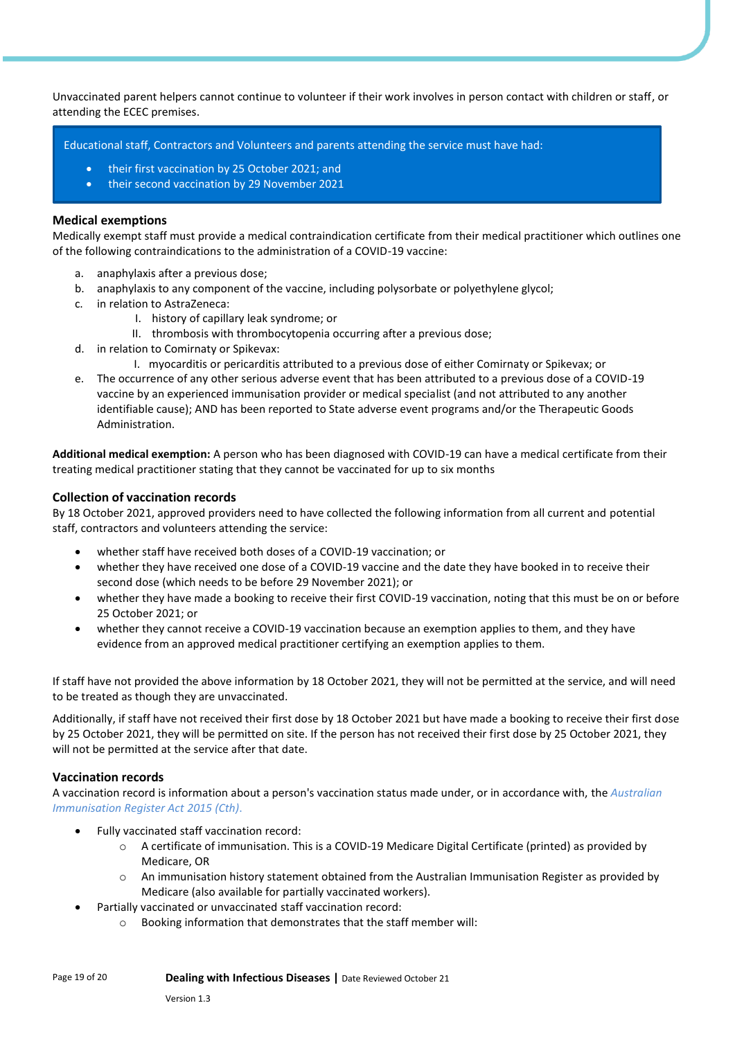Unvaccinated parent helpers cannot continue to volunteer if their work involves in person contact with children or staff, or attending the ECEC premises.

Educational staff, Contractors and Volunteers and parents attending the service must have had:

- their first vaccination by 25 October 2021; and
- their second vaccination by 29 November 2021

#### **Medical exemptions**

Medically exempt staff must provide a medical contraindication certificate from their medical practitioner which outlines one of the following contraindications to the administration of a COVID-19 vaccine:

- a. anaphylaxis after a previous dose;
- b. anaphylaxis to any component of the vaccine, including polysorbate or polyethylene glycol;
- c. in relation to AstraZeneca:
	- I. history of capillary leak syndrome; or
	- II. thrombosis with thrombocytopenia occurring after a previous dose;
- d. in relation to Comirnaty or Spikevax:
	- I. myocarditis or pericarditis attributed to a previous dose of either Comirnaty or Spikevax; or
- e. The occurrence of any other serious adverse event that has been attributed to a previous dose of a COVID-19 vaccine by an experienced immunisation provider or medical specialist (and not attributed to any another identifiable cause); AND has been reported to State adverse event programs and/or the Therapeutic Goods Administration.

**Additional medical exemption:** A person who has been diagnosed with COVID-19 can have a medical certificate from their treating medical practitioner stating that they cannot be vaccinated for up to six months

#### **Collection of vaccination records**

By 18 October 2021, approved providers need to have collected the following information from all current and potential staff, contractors and volunteers attending the service:

- whether staff have received both doses of a COVID-19 vaccination; or
- whether they have received one dose of a COVID-19 vaccine and the date they have booked in to receive their second dose (which needs to be before 29 November 2021); or
- whether they have made a booking to receive their first COVID-19 vaccination, noting that this must be on or before 25 October 2021; or
- whether they cannot receive a COVID-19 vaccination because an exemption applies to them, and they have evidence from an approved medical practitioner certifying an exemption applies to them.

If staff have not provided the above information by 18 October 2021, they will not be permitted at the service, and will need to be treated as though they are unvaccinated.

Additionally, if staff have not received their first dose by 18 October 2021 but have made a booking to receive their first dose by 25 October 2021, they will be permitted on site. If the person has not received their first dose by 25 October 2021, they will not be permitted at the service after that date.

### **Vaccination records**

A vaccination record is information about a person's vaccination status made under, or in accordance with, the *Australian Immunisation Register Act 2015 (Cth)*.

- Fully vaccinated staff vaccination record:
	- o A certificate of immunisation. This is a COVID-19 Medicare Digital Certificate (printed) as provided by Medicare, OR
	- o An immunisation history statement obtained from the Australian Immunisation Register as provided by Medicare (also available for partially vaccinated workers).
- Partially vaccinated or unvaccinated staff vaccination record:
	- o Booking information that demonstrates that the staff member will: